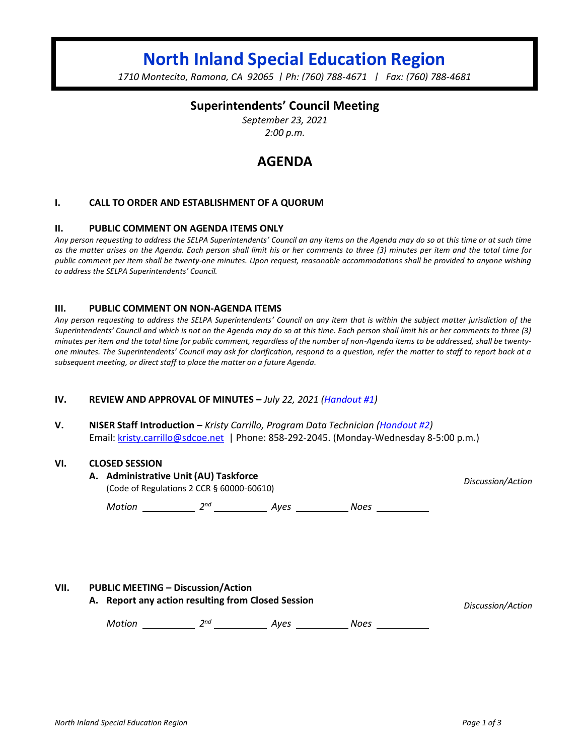# **North Inland Special Education Region**

*1710 Montecito, Ramona, CA 92065 | Ph: (760) 788-4671 | Fax: (760) 788-4681*

### **Superintendents' Council Meeting**

*September 23, 2021 2:00 p.m.*

## **AGENDA**

#### **I. CALL TO ORDER AND ESTABLISHMENT OF A QUORUM**

#### **II. PUBLIC COMMENT ON AGENDA ITEMS ONLY**

*Any person requesting to address the SELPA Superintendents' Council an any items on the Agenda may do so at this time or at such time as the matter arises on the Agenda. Each person shall limit his or her comments to three (3) minutes per item and the total time for public comment per item shall be twenty-one minutes. Upon request, reasonable accommodations shall be provided to anyone wishing to address the SELPA Superintendents' Council.*

#### **III. PUBLIC COMMENT ON NON-AGENDA ITEMS**

*Any person requesting to address the SELPA Superintendents' Council on any item that is within the subject matter jurisdiction of the Superintendents' Council and which is not on the Agenda may do so at this time. Each person shall limit his or her comments to three (3) minutes per item and the total time for public comment, regardless of the number of non-Agenda items to be addressed, shall be twentyone minutes. The Superintendents' Council may ask for clarification, respond to a question, refer the matter to staff to report back at a subsequent meeting, or direct staff to place the matter on a future Agenda.*

#### **IV. REVIEW AND APPROVAL OF MINUTES –** *July 22, 2021 (Handout #1)*

**V. NISER Staff Introduction –** *Kristy Carrillo, Program Data Technician (Handout #2)* Email[: kristy.carrillo@sdcoe.net](mailto:kristy.carrillo@sdcoe.net) | Phone: 858-292-2045. (Monday-Wednesday 8-5:00 p.m.)

#### **VI. CLOSED SESSION**

| A. Administrative Unit (AU) Taskforce<br>(Code of Regulations 2 CCR $\S$ 60000-60610) |     |      |      | Discussion/Action |
|---------------------------------------------------------------------------------------|-----|------|------|-------------------|
| Motion                                                                                | 2nd | Aves | Noes |                   |

#### **VII. PUBLIC MEETING – Discussion/Action**

**A. Report any action resulting from Closed Session** *Discussion/Action*

*Motion* 2<sup>nd</sup> 2<sup>nd</sup> Ayes 2008 Noes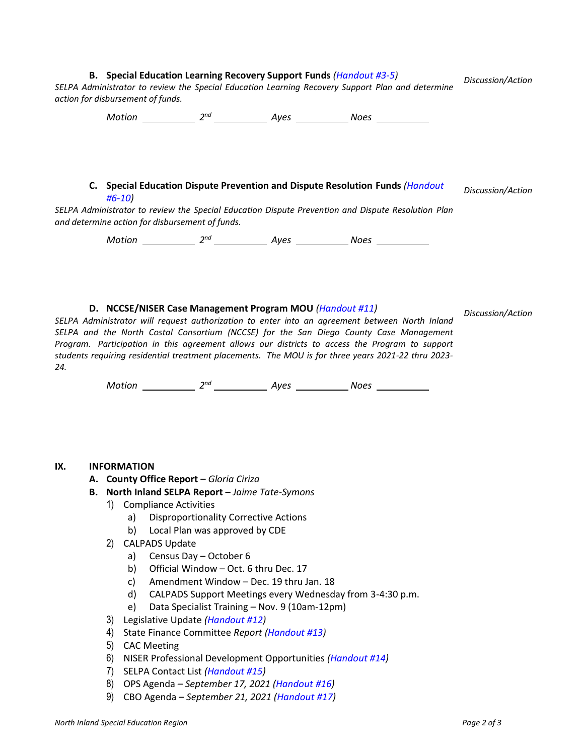| B. Special Education Learning Recovery Support Funds ( <i>Handout #3-5</i> )<br>SELPA Administrator to review the Special Education Learning Recovery Support Plan and determine<br>action for disbursement of funds.                                                                                                                                                                                                                                                                                                                                             | Discussion/Action |  |  |  |  |
|-------------------------------------------------------------------------------------------------------------------------------------------------------------------------------------------------------------------------------------------------------------------------------------------------------------------------------------------------------------------------------------------------------------------------------------------------------------------------------------------------------------------------------------------------------------------|-------------------|--|--|--|--|
|                                                                                                                                                                                                                                                                                                                                                                                                                                                                                                                                                                   |                   |  |  |  |  |
| C. Special Education Dispute Prevention and Dispute Resolution Funds (Handout<br>$#6-10)$                                                                                                                                                                                                                                                                                                                                                                                                                                                                         | Discussion/Action |  |  |  |  |
| SELPA Administrator to review the Special Education Dispute Prevention and Dispute Resolution Plan<br>and determine action for disbursement of funds.                                                                                                                                                                                                                                                                                                                                                                                                             |                   |  |  |  |  |
|                                                                                                                                                                                                                                                                                                                                                                                                                                                                                                                                                                   |                   |  |  |  |  |
| D. NCCSE/NISER Case Management Program MOU (Handout #11)<br>SELPA Administrator will request authorization to enter into an agreement between North Inland<br>SELPA and the North Costal Consortium (NCCSE) for the San Diego County Case Management<br>Program. Participation in this agreement allows our districts to access the Program to support<br>students requiring residential treatment placements. The MOU is for three years 2021-22 thru 2023-<br>24.<br>Motion _____________ 2 <sup>nd</sup> _______________ Ayes _____________ Noes _____________ | Discussion/Action |  |  |  |  |
|                                                                                                                                                                                                                                                                                                                                                                                                                                                                                                                                                                   |                   |  |  |  |  |
| IX.<br><b>INFORMATION</b><br>A. County Office Report - Gloria Ciriza                                                                                                                                                                                                                                                                                                                                                                                                                                                                                              |                   |  |  |  |  |
| B. North Inland SELPA Report - Jaime Tate-Symons                                                                                                                                                                                                                                                                                                                                                                                                                                                                                                                  |                   |  |  |  |  |
| 1)<br><b>Compliance Activities</b>                                                                                                                                                                                                                                                                                                                                                                                                                                                                                                                                |                   |  |  |  |  |
| <b>Disproportionality Corrective Actions</b><br>a)                                                                                                                                                                                                                                                                                                                                                                                                                                                                                                                |                   |  |  |  |  |
| b)<br>Local Plan was approved by CDE<br>2)<br><b>CALPADS Update</b>                                                                                                                                                                                                                                                                                                                                                                                                                                                                                               |                   |  |  |  |  |
| Census Day - October 6<br>a)                                                                                                                                                                                                                                                                                                                                                                                                                                                                                                                                      |                   |  |  |  |  |
| Official Window - Oct. 6 thru Dec. 17<br>b)                                                                                                                                                                                                                                                                                                                                                                                                                                                                                                                       |                   |  |  |  |  |
| Amendment Window - Dec. 19 thru Jan. 18<br>c)                                                                                                                                                                                                                                                                                                                                                                                                                                                                                                                     |                   |  |  |  |  |
| d)<br>CALPADS Support Meetings every Wednesday from 3-4:30 p.m.                                                                                                                                                                                                                                                                                                                                                                                                                                                                                                   |                   |  |  |  |  |
| Data Specialist Training - Nov. 9 (10am-12pm)<br>e)<br>Legislative Update (Handout #12)<br>3)                                                                                                                                                                                                                                                                                                                                                                                                                                                                     |                   |  |  |  |  |
| State Finance Committee Report (Handout #13)<br>4)                                                                                                                                                                                                                                                                                                                                                                                                                                                                                                                |                   |  |  |  |  |
| 5)<br><b>CAC Meeting</b>                                                                                                                                                                                                                                                                                                                                                                                                                                                                                                                                          |                   |  |  |  |  |
| NISER Professional Development Opportunities (Handout #14)<br>6)                                                                                                                                                                                                                                                                                                                                                                                                                                                                                                  |                   |  |  |  |  |
| SELPA Contact List (Handout #15)<br>7)                                                                                                                                                                                                                                                                                                                                                                                                                                                                                                                            |                   |  |  |  |  |
| OPS Agenda - September 17, 2021 (Handout #16)<br>8)                                                                                                                                                                                                                                                                                                                                                                                                                                                                                                               |                   |  |  |  |  |

9) CBO Agenda *– September 21, 2021 (Handout #17)*